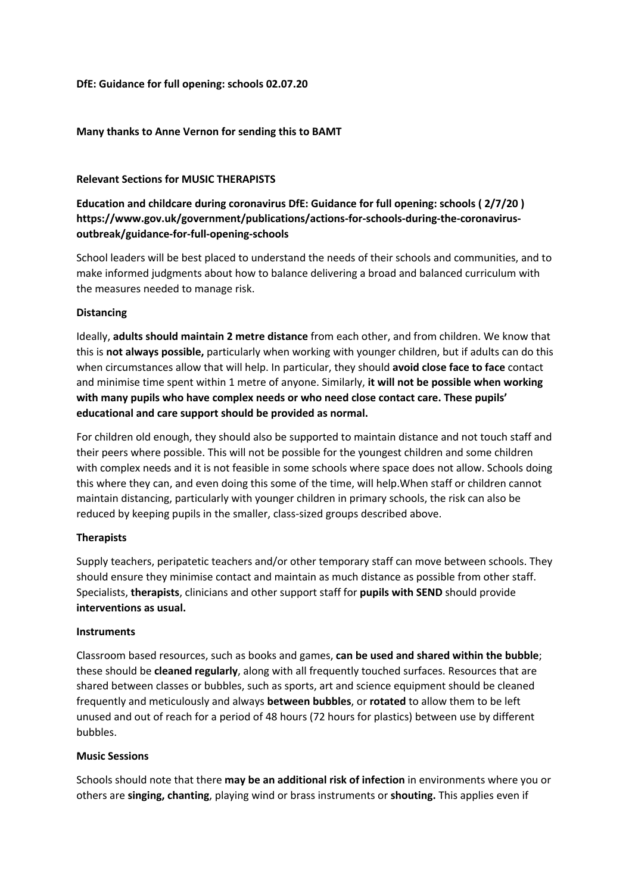# **DfE: Guidance for full opening: schools 02.07.20**

# **Many thanks to Anne Vernon for sending this to BAMT**

### **Relevant Sections for MUSIC THERAPISTS**

**Education and childcare during coronavirus DfE: Guidance for full opening: schools ( 2/7/20 ) https://www.gov.uk/government/publications/actions-for-schools-during-the-coronavirusoutbreak/guidance-for-full-opening-schools**

School leaders will be best placed to understand the needs of their schools and communities, and to make informed judgments about how to balance delivering a broad and balanced curriculum with the measures needed to manage risk.

### **Distancing**

Ideally, **adults should maintain 2 metre distance** from each other, and from children. We know that this is **not always possible,** particularly when working with younger children, but if adults can do this when circumstances allow that will help. In particular, they should **avoid close face to face** contact and minimise time spent within 1 metre of anyone. Similarly, **it will not be possible when working with many pupils who have complex needs or who need close contact care. These pupils' educational and care support should be provided as normal.**

For children old enough, they should also be supported to maintain distance and not touch staff and their peers where possible. This will not be possible for the youngest children and some children with complex needs and it is not feasible in some schools where space does not allow. Schools doing this where they can, and even doing this some of the time, will help.When staff or children cannot maintain distancing, particularly with younger children in primary schools, the risk can also be reduced by keeping pupils in the smaller, class-sized groups described above.

# **Therapists**

Supply teachers, peripatetic teachers and/or other temporary staff can move between schools. They should ensure they minimise contact and maintain as much distance as possible from other staff. Specialists, **therapists**, clinicians and other support staff for **pupils with SEND** should provide **interventions as usual.**

### **Instruments**

Classroom based resources, such as books and games, **can be used and shared within the bubble**; these should be **cleaned regularly**, along with all frequently touched surfaces. Resources that are shared between classes or bubbles, such as sports, art and science equipment should be cleaned frequently and meticulously and always **between bubbles**, or **rotated** to allow them to be left unused and out of reach for a period of 48 hours (72 hours for plastics) between use by different bubbles.

# **Music Sessions**

Schools should note that there **may be an additional risk of infection** in environments where you or others are **singing, chanting**, playing wind or brass instruments or **shouting.** This applies even if